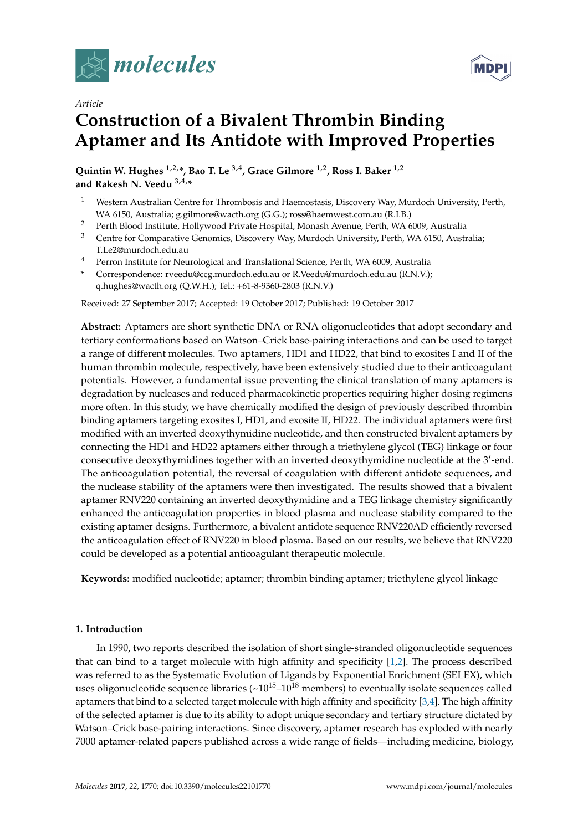



# *Article* **Construction of a Bivalent Thrombin Binding Aptamer and Its Antidote with Improved Properties**

**Quintin W. Hughes 1,2,\*, Bao T. Le 3,4, Grace Gilmore 1,2, Ross I. Baker 1,2 and Rakesh N. Veedu 3,4,\***

- <sup>1</sup> Western Australian Centre for Thrombosis and Haemostasis, Discovery Way, Murdoch University, Perth, WA 6150, Australia; g.gilmore@wacth.org (G.G.); ross@haemwest.com.au (R.I.B.)
- <sup>2</sup> Perth Blood Institute, Hollywood Private Hospital, Monash Avenue, Perth, WA 6009, Australia
- <sup>3</sup> Centre for Comparative Genomics, Discovery Way, Murdoch University, Perth, WA 6150, Australia; T.Le2@murdoch.edu.au
- <sup>4</sup> Perron Institute for Neurological and Translational Science, Perth, WA 6009, Australia
- **\*** Correspondence: rveedu@ccg.murdoch.edu.au or R.Veedu@murdoch.edu.au (R.N.V.); q.hughes@wacth.org (Q.W.H.); Tel.: +61-8-9360-2803 (R.N.V.)

Received: 27 September 2017; Accepted: 19 October 2017; Published: 19 October 2017

**Abstract:** Aptamers are short synthetic DNA or RNA oligonucleotides that adopt secondary and tertiary conformations based on Watson–Crick base-pairing interactions and can be used to target a range of different molecules. Two aptamers, HD1 and HD22, that bind to exosites I and II of the human thrombin molecule, respectively, have been extensively studied due to their anticoagulant potentials. However, a fundamental issue preventing the clinical translation of many aptamers is degradation by nucleases and reduced pharmacokinetic properties requiring higher dosing regimens more often. In this study, we have chemically modified the design of previously described thrombin binding aptamers targeting exosites I, HD1, and exosite II, HD22. The individual aptamers were first modified with an inverted deoxythymidine nucleotide, and then constructed bivalent aptamers by connecting the HD1 and HD22 aptamers either through a triethylene glycol (TEG) linkage or four consecutive deoxythymidines together with an inverted deoxythymidine nucleotide at the  $3'$ -end. The anticoagulation potential, the reversal of coagulation with different antidote sequences, and the nuclease stability of the aptamers were then investigated. The results showed that a bivalent aptamer RNV220 containing an inverted deoxythymidine and a TEG linkage chemistry significantly enhanced the anticoagulation properties in blood plasma and nuclease stability compared to the existing aptamer designs. Furthermore, a bivalent antidote sequence RNV220AD efficiently reversed the anticoagulation effect of RNV220 in blood plasma. Based on our results, we believe that RNV220 could be developed as a potential anticoagulant therapeutic molecule.

**Keywords:** modified nucleotide; aptamer; thrombin binding aptamer; triethylene glycol linkage

# **1. Introduction**

In 1990, two reports described the isolation of short single-stranded oligonucleotide sequences that can bind to a target molecule with high affinity and specificity [\[1,](#page-6-0)[2\]](#page-6-1). The process described was referred to as the Systematic Evolution of Ligands by Exponential Enrichment (SELEX), which uses oligonucleotide sequence libraries  $({\sim}10^{15}-10^{18}$  members) to eventually isolate sequences called aptamers that bind to a selected target molecule with high affinity and specificity [\[3,](#page-6-2)[4\]](#page-6-3). The high affinity of the selected aptamer is due to its ability to adopt unique secondary and tertiary structure dictated by Watson–Crick base-pairing interactions. Since discovery, aptamer research has exploded with nearly 7000 aptamer-related papers published across a wide range of fields—including medicine, biology,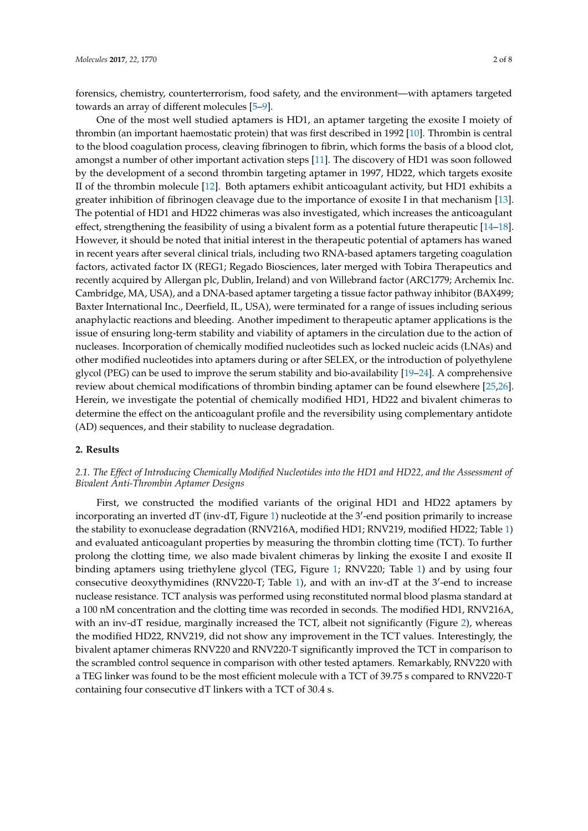forensics, chemistry, counterterrorism, food safety, and the environment—with aptamers targeted towards an array of different molecules [\[5–](#page-6-4)[9\]](#page-6-5).

One of the most well studied aptamers is HD1, an aptamer targeting the exosite I moiety of thrombin (an important haemostatic protein) that was first described in 1992 [\[10\]](#page-6-6). Thrombin is central to the blood coagulation process, cleaving fibrinogen to fibrin, which forms the basis of a blood clot, amongst a number of other important activation steps [\[11\]](#page-6-7). The discovery of HD1 was soon followed by the development of a second thrombin targeting aptamer in 1997, HD22, which targets exosite II of the thrombin molecule [\[12\]](#page-6-8). Both aptamers exhibit anticoagulant activity, but HD1 exhibits a greater inhibition of fibrinogen cleavage due to the importance of exosite I in that mechanism [\[13\]](#page-6-9). The potential of HD1 and HD22 chimeras was also investigated, which increases the anticoagulant effect, strengthening the feasibility of using a bivalent form as a potential future therapeutic [\[14–](#page-6-10)[18\]](#page-7-0). However, it should be noted that initial interest in the therapeutic potential of aptamers has waned in recent years after several clinical trials, including two RNA-based aptamers targeting coagulation factors, activated factor IX (REG1; Regado Biosciences, later merged with Tobira Therapeutics and recently acquired by Allergan plc, Dublin, Ireland) and von Willebrand factor (ARC1779; Archemix Inc. Cambridge, MA, USA), and a DNA-based aptamer targeting a tissue factor pathway inhibitor (BAX499; Baxter International Inc., Deerfield, IL, USA), were terminated for a range of issues including serious anaphylactic reactions and bleeding. Another impediment to therapeutic aptamer applications is the issue of ensuring long-term stability and viability of aptamers in the circulation due to the action of nucleases. Incorporation of chemically modified nucleotides such as locked nucleic acids (LNAs) and other modified nucleotides into aptamers during or after SELEX, or the introduction of polyethylene glycol (PEG) can be used to improve the serum stability and bio-availability [\[19](#page-7-1)[–24\]](#page-7-2). A comprehensive review about chemical modifications of thrombin binding aptamer can be found elsewhere [\[25,](#page-7-3)[26\]](#page-7-4). Herein, we investigate the potential of chemically modified HD1, HD22 and bivalent chimeras to determine the effect on the anticoagulant profile and the reversibility using complementary antidote (AD) sequences, and their stability to nuclease degradation.

# **2. Results**

# *2.1. The Effect of Introducing Chemically Modified Nucleotides into the HD1 and HD22, and the Assessment of Bivalent Anti-Thrombin Aptamer Designs*

First, we constructed the modified variants of the original HD1 and HD22 aptamers by incorporating an inverted dT (inv-dT, Figure [1\)](#page-2-0) nucleotide at the 3'-end position primarily to increase the stability to exonuclease degradation (RNV216A, modified HD1; RNV219, modified HD22; Table [1\)](#page-2-1) and evaluated anticoagulant properties by measuring the thrombin clotting time (TCT). To further prolong the clotting time, we also made bivalent chimeras by linking the exosite I and exosite II binding aptamers using triethylene glycol (TEG, Figure [1;](#page-2-0) RNV220; Table [1\)](#page-2-1) and by using four consecutive deoxythymidines (RNV220-T; Table [1\)](#page-2-1), and with an inv-dT at the  $3'$ -end to increase nuclease resistance. TCT analysis was performed using reconstituted normal blood plasma standard at a 100 nM concentration and the clotting time was recorded in seconds. The modified HD1, RNV216A, with an inv-dT residue, marginally increased the TCT, albeit not significantly (Figure [2\)](#page-2-2), whereas the modified HD22, RNV219, did not show any improvement in the TCT values. Interestingly, the bivalent aptamer chimeras RNV220 and RNV220-T significantly improved the TCT in comparison to the scrambled control sequence in comparison with other tested aptamers. Remarkably, RNV220 with a TEG linker was found to be the most efficient molecule with a TCT of 39.75 s compared to RNV220-T containing four consecutive dT linkers with a TCT of 30.4 s.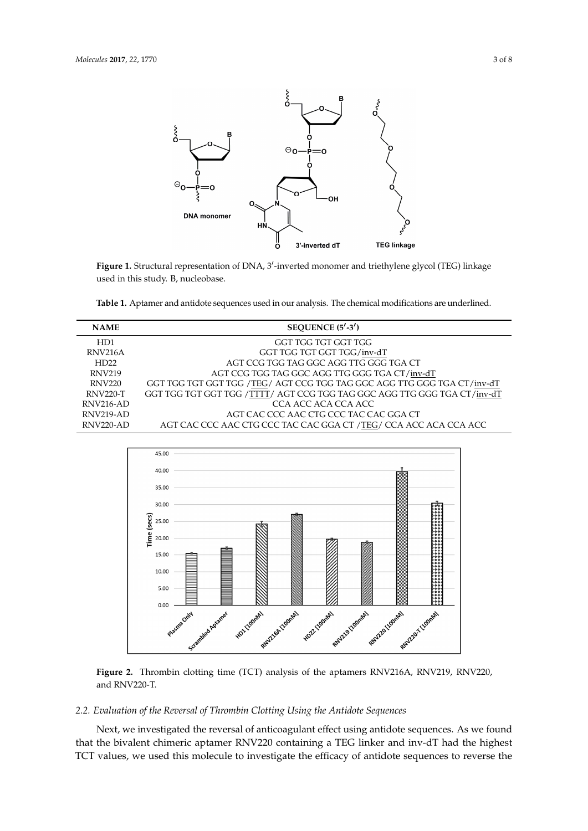<span id="page-2-0"></span>

Figure 1. Structural representation of DNA, 3'-inverted monomer and triethylene glycol (TEG) linkage used in this study. B, nucleobase.

<span id="page-2-1"></span>Table 1. Aptamer and antidote sequences used in our analysis. The chemical modifications are underlined.

| <b>NAME</b>          | SEQUENCE $(5' - 3')$                                                      |
|----------------------|---------------------------------------------------------------------------|
| HD <sub>1</sub>      | GGT TGG TGT GGT TGG                                                       |
| RNV <sub>216</sub> A | GGT TGG TGT GGT TGG/inv-dT                                                |
| HD22                 | AGT CCG TGG TAG GGC AGG TTG GGG TGA CT                                    |
| <b>RNV219</b>        | AGT CCG TGG TAG GGC AGG TTG GGG TGA CT/inv-dT                             |
| <b>RNV220</b>        | GGT TGG TGT GGT TGG / TEG/ AGT CCG TGG TAG GGC AGG TTG GGG TGA CT/inv-dT  |
| <b>RNV220-T</b>      | GGT TGG TGT GGT TGG / TTTT/ AGT CCG TGG TAG GGC AGG TTG GGG TGA CT/inv-dT |
| RNV216-AD            | CCA ACC ACA CCA ACC                                                       |
| $R$ NV219-AD         | AGT CAC CCC AAC CTG CCC TAC CAC GGA CT                                    |
| $RNV220-AD$          | AGT CAC CCC AAC CTG CCC TAC CAC GGA CT /TEG/ CCA ACC ACA CCA ACC          |

<span id="page-2-2"></span>

Figure 2. Thrombin clotting time (TCT) analysis of the aptamers RNV216A, RNV219, RNV220, RNV220-T. RNV220-T. and RNV220-T.

# .<br>2.2. Evaluation of the Reversal of Thrombin Clotting Using the Antidote Sequences

 $N_{\rm eff}$  investigated the reversal of anticoagulant effect using anticoagulant effect using antidote sequences. As we found the reversal of anti-Next, we investigated the reversal of anticoagulant effect using antidote sequences. As we found that the bivalent chimeric aptamer RNV220 containing a TEG linker and inv-dT had the highest values, we used this molecule to investigate the efficacy of antidote sequences to reverse the TCT values, we used this molecule to investigate the efficacy of antidote sequences to reverse the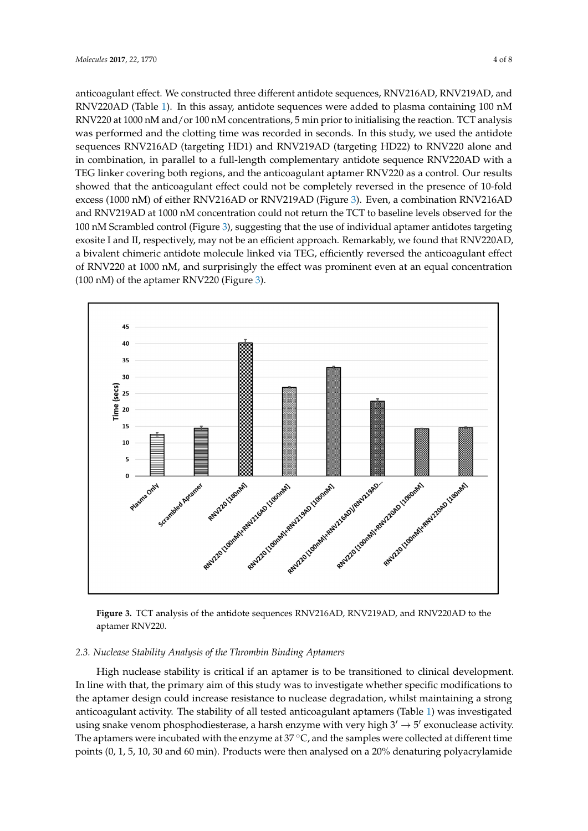anticoagulant effect. We constructed three different antidote sequences, RNV216AD, RNV219AD, and anticoagulant effect. We constructed three different antidote sequences, RNV216AD, RNV219AD, RNV220AD (Table [1\)](#page-2-1). In this assay, antidote sequences were added to plasma containing 100 nM RNV220 at 1000 nM and/or 100 nM concentrations, 5 min prior to initialising the reaction. TCT analysis RNV220 at 1000 nM and/or 100 nM concentrations, 5 min prior to initialising the reaction. TCT was performed and the clotting time was recorded in seconds. In this study, we used the antidote sequences RNV216AD (targeting HD1) and RNV219AD (targeting HD22) to RNV220 alone and in combination, in parallel to a full-length complementary antidote sequence RNV220AD with a TEG linker covering both regions, and the anticoagulant aptamer RNV220 as a control. Our results TEG linker covering both regions, and the anticoagulant aptamer RNV220 as a control. Our results showed that the anticoagulant effect could not be completely reversed in the presence of 10-fold showed that the anticoagulant effect could not be completely reversed in the presence of 10-fold excess (1000 nM) of either RNV216AD or RNV219AD (Figure [3\)](#page-3-0). Even, a combination RNV216AD excess (1000 nM) of either RNV216AD or RNV219AD (Figure 3). Even, a combination RNV216AD and RNV219AD at 1000 nM concentration could not return the TCT to baseline levels observed for the 100 nM Scrambled control (Figure [3\)](#page-3-0), suggesting that the use of individual aptamer antidotes targeting exosite I and II, respectively, may not be an efficient approach. Remarkably, we found that RNV220AD, a bivalent chimeric antidote molecule linked via TEG, efficiently reversed the anticoagulant effect of RNV220 at 1000 nM, and surprisingly the effect was prominent even at an equal concentration

 $(100 \text{ nM})$  of the aptamer RNV220 (Figure [3\)](#page-3-0).

<span id="page-3-0"></span>

**Figure 3.** TCT analysis of the antidote sequences RNV216AD, RNV219AD, and RNV220AD to the **Figure 3.** TCT analysis of the antidote sequences RNV216AD, RNV219AD, and RNV220AD to the aptamer RNV220. aptamer RNV220.

## *2.3. Nuclease Stability Analysis of the Thrombin Binding Aptamers 2.3. Nuclease Stability Analysis of the Thrombin Binding Aptamers*

High nuclease stability is critical if an aptamer is to be transitioned to clinical development. In line with that, the primary aim of this study was to investigate whether specific modifications to In line with that, the primary aim of this study was to investigate whether specific modifications to<br>the aptamer design could increase resistance to nuclease degradation, whilst maintaining a strong anticoagulant activity. The stability of all tested anticoagulant aptamers (Table [1\)](#page-2-1) was investigated anticoagulant activity. The stability of all tested anticoagulant aptamers (Table 1) was investigated using snake venom phosphodiesterase, a harsh enzyme with very high  $3' \rightarrow 5'$  exonuclease activity. The aptamers were incubated with the enzyme at  $37^{\circ}$ C, and the samples were collected at different time points (0, 1, 5, 10, 30 and 60 min). Products were then analysed on a 20% denaturing polyacrylamide points  $(0, 1, 5, 10, 30, 30, 60, 60, 1)$ . Products were then analysed on a 20% denaturing polyacrylamide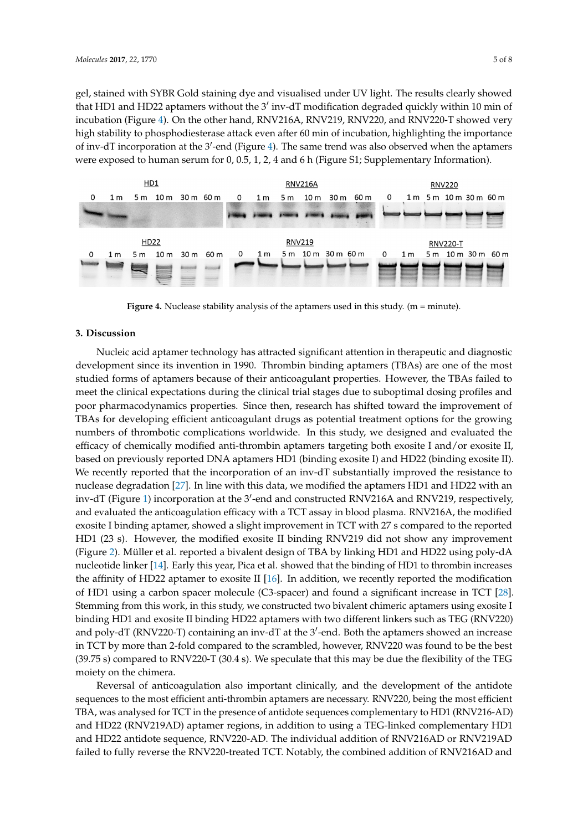gel, stained with SYBR Gold staining dye and visualised under UV light. The results clearly showed that HD1 and HD22 aptamers without the 3' inv-dT modification degraded quickly within 10 min of incubation (Figure [4\)](#page-4-0). On the other hand, RNV216A, RNV219, RNV220, and RNV220-T showed very high stability to phosphodiesterase attack even after 60 min of incubation, highlighting the importance of inv-dT incorporation at the 3'-en[d](#page-4-0) (Figure 4). The same trend was also observed when the aptamers were exposed to human serum for 0, 0.5, 1, 2, 4 and 6 h (Figure S1; Supplementary Information). Supplementary Information).

<span id="page-4-0"></span>

**Figure 4.** Nuclease stability analysis of the aptamers used in this study. (m = minute). **Figure 4.** Nuclease stability analysis of the aptamers used in this study. (m = minute).

#### **3. Discussion is the set of the set of the set of the set of the set of the set of the set of the set of the s 3. Discussion**

Nucleic acid aptamer technology has attracted significant attention in therapeutic and diagnostic Nucleic acid aptamer technology has attracted significant attention in therapeutic and diagnostic latential and the most in the most in the most in the most in the most in the most in the most in the most in the most in th development since its invention in 1990. Thrombin binding aptamers (TBAs) are one of the most studied forms of aptamers because of their anticoagulant properties. However, the TBAs failed to substitution of the TBAs failed to meet the clinical expectations during the clinical trial stages due to suboptimal dosing profiles and<br>experiences poor pharmacodynamics properties. Since then, research has shifted toward the improvement of TBAs for developing efficient anticoagulant drugs as potential treatment options for the growing<br> numbers of thrombotic complications worldwide. In this study, we designed and evaluated the<br> $\frac{1}{2}$ efficacy of chemically modified anti-thrombin aptamers targeting both exosite I and/or exosite II,<br>efficacy of chemically modified anti-thrombin aptamers targeting both exosite I and/or exosite II, based on previously reported DNA aptamers HD1 (binding exosite I) and HD22 (binding exosite II).<br>We We recently reported that the incorporation of an inv-dT substantially improved the resistance to  $\frac{1}{2}$ inv-dT (Figure 1) incorporation at the 3′-end and constructed RNV216A and RNV219, respectively, nuclease degradation [\[27\]](#page-7-5). In line with this data, we modified the aptamers HD1 and HD22 with an inv-dT (Figure [1\)](#page-2-0) incorporation at the 3'-end and constructed RNV216A and RNV219, respectively, and evaluated the anticoagulation efficacy with a TCT assay in blood plasma. RNV216A, the modified in TCT assay in blood plasma. RNV216A, the modified exosite I binding aptamer, showed a slight improvement in TCT with 27 s compared to the reported<br> HD1 (23 s). However, the modified exosite II binding RNV219 did not show any improvement  $\overline{CD}$ (Figure [2\)](#page-2-2). Müller et al. reported a bivalent design of TBA by linking HD1 and HD22 using poly-dA<br>
The binding of HD1 to the binding of TBA by linking HD1 and HD22 using poly-dA nucleotide linker [\[14\]](#page-6-10). Early this year, Pica et al. showed that the binding of HD1 to thrombin increases in a<br>nucleotide linker [14]. Early this year, Pica et al. showed that the binding of HD1 to thrombin increases the affinity of HD22 aptamer to exosite II [\[16\]](#page-7-6). In addition, we recently reported the modification  $\overline{S}$ of HD1 using a carbon spacer molecule (C3-spacer) and found a significant increase in TCT [\[28\]](#page-7-7). Stemming from this work, in this study, we constructed two bivalent chimeric aptamers using exosite I<br>In this work, in this study, we constructed two bivalent chimeric aptamers using exosite I binding HD1 and exosite II binding HD22 aptamers with two different linkers such as TEG (RNV220) binding  $T_{\text{max}}$ and poly-dT (RNV220-T) containing an inv-dT at the 3'-end. Both the aptamers showed an increase in TCT by more than 2-fold compared to the scrambled, however, RNV220 was found to be the best  $(30.75 \times 10^{-3} \text{ m})$ (39.75 s) compared to RNV220-T (30.4 s). We speculate that this may be due the flexibility of the TEG  $R$ ersal of anticoally, and the development clinically, and the anti-dote and the anti-dote anti-dote anti-dote antimoiety on the chimera.

Reversal of anticoagulation also important clinically, and the development of the antidote most experience of the most cannot contain the most cannot contain the most cannot contain the most cannot contain the most cannot sequences to the most efficient anti-thrombin aptamers are necessary. RNV220, being the most efficient anti-thrombin aptamers are necessary. RNV220, being the most efficient TBA, was analysed for TCT in the presence of antidote sequences complementary to HD1 (RNV216-AD) TEG-linked for TCT in the presence of antidote sequences complementary to HD1 (RNV216-AD) and HD22 (RNV219AD) aptamer regions, in addition to using a TEG-linked complementary HD1<br>and HD22 (RNV219AD) aptamer regions, in addition to using a TEG-linked complementary HD1 and HD22 antidote sequence, RNV220-AD. The individual addition of RNV216AD or RNV219AD<br>6. Notably, the compilation of RNV219AD failed to fully reverse the RNV220-treated TCT. Notably, the combined addition of RNV216AD and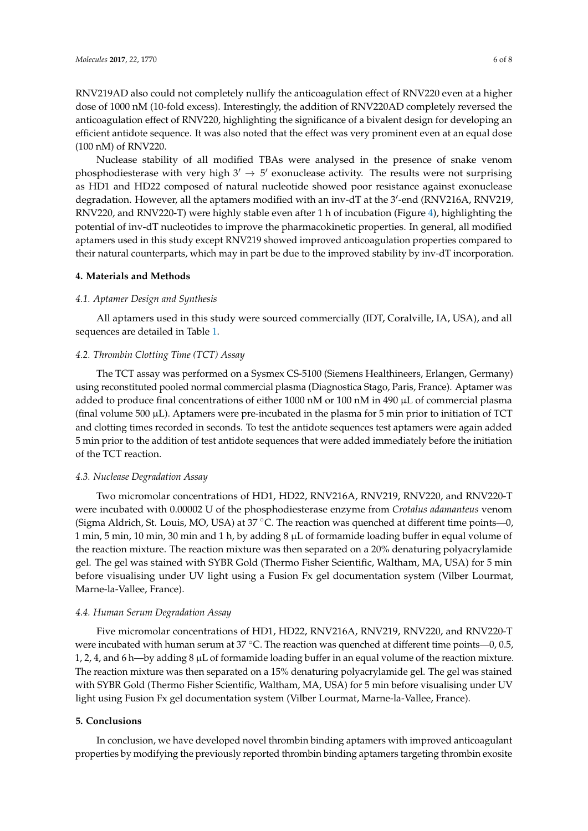RNV219AD also could not completely nullify the anticoagulation effect of RNV220 even at a higher dose of 1000 nM (10-fold excess). Interestingly, the addition of RNV220AD completely reversed the anticoagulation effect of RNV220, highlighting the significance of a bivalent design for developing an efficient antidote sequence. It was also noted that the effect was very prominent even at an equal dose (100 nM) of RNV220.

Nuclease stability of all modified TBAs were analysed in the presence of snake venom phosphodiesterase with very high  $3' \rightarrow 5'$  exonuclease activity. The results were not surprising as HD1 and HD22 composed of natural nucleotide showed poor resistance against exonuclease degradation. However, all the aptamers modified with an inv-dT at the 3'-end (RNV216A, RNV219, RNV220, and RNV220-T) were highly stable even after 1 h of incubation (Figure [4\)](#page-4-0), highlighting the potential of inv-dT nucleotides to improve the pharmacokinetic properties. In general, all modified aptamers used in this study except RNV219 showed improved anticoagulation properties compared to their natural counterparts, which may in part be due to the improved stability by inv-dT incorporation.

### **4. Materials and Methods**

#### *4.1. Aptamer Design and Synthesis*

All aptamers used in this study were sourced commercially (IDT, Coralville, IA, USA), and all sequences are detailed in Table [1.](#page-2-1)

#### *4.2. Thrombin Clotting Time (TCT) Assay*

The TCT assay was performed on a Sysmex CS-5100 (Siemens Healthineers, Erlangen, Germany) using reconstituted pooled normal commercial plasma (Diagnostica Stago, Paris, France). Aptamer was added to produce final concentrations of either 1000 nM or 100 nM in 490  $\mu$ L of commercial plasma (final volume 500 µL). Aptamers were pre-incubated in the plasma for 5 min prior to initiation of TCT and clotting times recorded in seconds. To test the antidote sequences test aptamers were again added 5 min prior to the addition of test antidote sequences that were added immediately before the initiation of the TCT reaction.

#### *4.3. Nuclease Degradation Assay*

Two micromolar concentrations of HD1, HD22, RNV216A, RNV219, RNV220, and RNV220-T were incubated with 0.00002 U of the phosphodiesterase enzyme from *Crotalus adamanteus* venom (Sigma Aldrich, St. Louis, MO, USA) at 37 °C. The reaction was quenched at different time points—0, 1 min, 5 min, 10 min, 30 min and 1 h, by adding 8 µL of formamide loading buffer in equal volume of the reaction mixture. The reaction mixture was then separated on a 20% denaturing polyacrylamide gel. The gel was stained with SYBR Gold (Thermo Fisher Scientific, Waltham, MA, USA) for 5 min before visualising under UV light using a Fusion Fx gel documentation system (Vilber Lourmat, Marne-la-Vallee, France).

#### *4.4. Human Serum Degradation Assay*

Five micromolar concentrations of HD1, HD22, RNV216A, RNV219, RNV220, and RNV220-T were incubated with human serum at 37 °C. The reaction was quenched at different time points—0, 0.5, 1, 2, 4, and 6 h—by adding 8 µL of formamide loading buffer in an equal volume of the reaction mixture. The reaction mixture was then separated on a 15% denaturing polyacrylamide gel. The gel was stained with SYBR Gold (Thermo Fisher Scientific, Waltham, MA, USA) for 5 min before visualising under UV light using Fusion Fx gel documentation system (Vilber Lourmat, Marne-la-Vallee, France).

### **5. Conclusions**

In conclusion, we have developed novel thrombin binding aptamers with improved anticoagulant properties by modifying the previously reported thrombin binding aptamers targeting thrombin exosite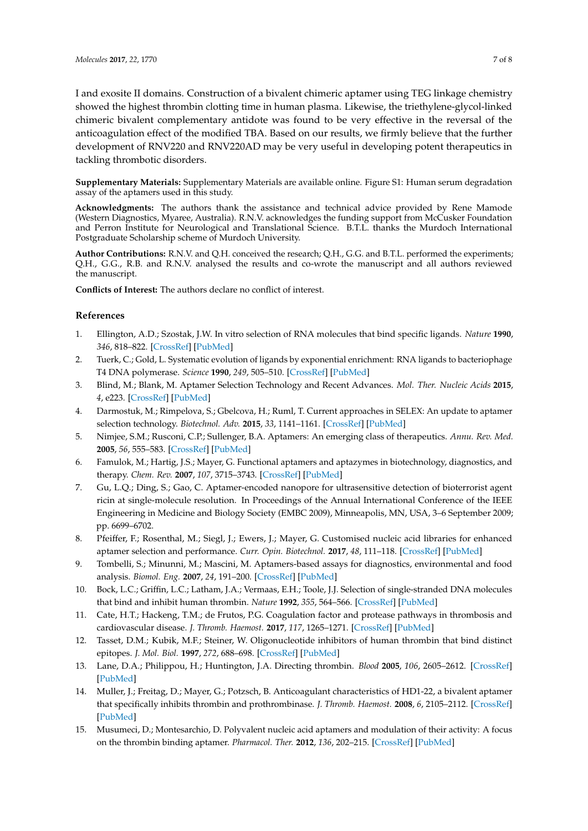I and exosite II domains. Construction of a bivalent chimeric aptamer using TEG linkage chemistry showed the highest thrombin clotting time in human plasma. Likewise, the triethylene-glycol-linked chimeric bivalent complementary antidote was found to be very effective in the reversal of the anticoagulation effect of the modified TBA. Based on our results, we firmly believe that the further development of RNV220 and RNV220AD may be very useful in developing potent therapeutics in tackling thrombotic disorders.

**Supplementary Materials:** Supplementary Materials are available online. Figure S1: Human serum degradation assay of the aptamers used in this study.

**Acknowledgments:** The authors thank the assistance and technical advice provided by Rene Mamode (Western Diagnostics, Myaree, Australia). R.N.V. acknowledges the funding support from McCusker Foundation and Perron Institute for Neurological and Translational Science. B.T.L. thanks the Murdoch International Postgraduate Scholarship scheme of Murdoch University.

**Author Contributions:** R.N.V. and Q.H. conceived the research; Q.H., G.G. and B.T.L. performed the experiments; Q.H., G.G., R.B. and R.N.V. analysed the results and co-wrote the manuscript and all authors reviewed the manuscript.

**Conflicts of Interest:** The authors declare no conflict of interest.

### **References**

- <span id="page-6-0"></span>1. Ellington, A.D.; Szostak, J.W. In vitro selection of RNA molecules that bind specific ligands. *Nature* **1990**, *346*, 818–822. [\[CrossRef\]](http://dx.doi.org/10.1038/346818a0) [\[PubMed\]](http://www.ncbi.nlm.nih.gov/pubmed/1697402)
- <span id="page-6-1"></span>2. Tuerk, C.; Gold, L. Systematic evolution of ligands by exponential enrichment: RNA ligands to bacteriophage T4 DNA polymerase. *Science* **1990**, *249*, 505–510. [\[CrossRef\]](http://dx.doi.org/10.1126/science.2200121) [\[PubMed\]](http://www.ncbi.nlm.nih.gov/pubmed/2200121)
- <span id="page-6-2"></span>3. Blind, M.; Blank, M. Aptamer Selection Technology and Recent Advances. *Mol. Ther. Nucleic Acids* **2015**, *4*, e223. [\[CrossRef\]](http://dx.doi.org/10.1038/mtna.2014.74) [\[PubMed\]](http://www.ncbi.nlm.nih.gov/pubmed/28110747)
- <span id="page-6-3"></span>4. Darmostuk, M.; Rimpelova, S.; Gbelcova, H.; Ruml, T. Current approaches in SELEX: An update to aptamer selection technology. *Biotechnol. Adv.* **2015**, *33*, 1141–1161. [\[CrossRef\]](http://dx.doi.org/10.1016/j.biotechadv.2015.02.008) [\[PubMed\]](http://www.ncbi.nlm.nih.gov/pubmed/25708387)
- <span id="page-6-4"></span>5. Nimjee, S.M.; Rusconi, C.P.; Sullenger, B.A. Aptamers: An emerging class of therapeutics. *Annu. Rev. Med.* **2005**, *56*, 555–583. [\[CrossRef\]](http://dx.doi.org/10.1146/annurev.med.56.062904.144915) [\[PubMed\]](http://www.ncbi.nlm.nih.gov/pubmed/15660527)
- 6. Famulok, M.; Hartig, J.S.; Mayer, G. Functional aptamers and aptazymes in biotechnology, diagnostics, and therapy. *Chem. Rev.* **2007**, *107*, 3715–3743. [\[CrossRef\]](http://dx.doi.org/10.1021/cr0306743) [\[PubMed\]](http://www.ncbi.nlm.nih.gov/pubmed/17715981)
- 7. Gu, L.Q.; Ding, S.; Gao, C. Aptamer-encoded nanopore for ultrasensitive detection of bioterrorist agent ricin at single-molecule resolution. In Proceedings of the Annual International Conference of the IEEE Engineering in Medicine and Biology Society (EMBC 2009), Minneapolis, MN, USA, 3–6 September 2009; pp. 6699–6702.
- 8. Pfeiffer, F.; Rosenthal, M.; Siegl, J.; Ewers, J.; Mayer, G. Customised nucleic acid libraries for enhanced aptamer selection and performance. *Curr. Opin. Biotechnol.* **2017**, *48*, 111–118. [\[CrossRef\]](http://dx.doi.org/10.1016/j.copbio.2017.03.026) [\[PubMed\]](http://www.ncbi.nlm.nih.gov/pubmed/28437710)
- <span id="page-6-5"></span>9. Tombelli, S.; Minunni, M.; Mascini, M. Aptamers-based assays for diagnostics, environmental and food analysis. *Biomol. Eng.* **2007**, *24*, 191–200. [\[CrossRef\]](http://dx.doi.org/10.1016/j.bioeng.2007.03.003) [\[PubMed\]](http://www.ncbi.nlm.nih.gov/pubmed/17434340)
- <span id="page-6-6"></span>10. Bock, L.C.; Griffin, L.C.; Latham, J.A.; Vermaas, E.H.; Toole, J.J. Selection of single-stranded DNA molecules that bind and inhibit human thrombin. *Nature* **1992**, *355*, 564–566. [\[CrossRef\]](http://dx.doi.org/10.1038/355564a0) [\[PubMed\]](http://www.ncbi.nlm.nih.gov/pubmed/1741036)
- <span id="page-6-7"></span>11. Cate, H.T.; Hackeng, T.M.; de Frutos, P.G. Coagulation factor and protease pathways in thrombosis and cardiovascular disease. *J. Thromb. Haemost.* **2017**, *117*, 1265–1271. [\[CrossRef\]](http://dx.doi.org/10.1160/TH17-02-0079) [\[PubMed\]](http://www.ncbi.nlm.nih.gov/pubmed/28594052)
- <span id="page-6-8"></span>12. Tasset, D.M.; Kubik, M.F.; Steiner, W. Oligonucleotide inhibitors of human thrombin that bind distinct epitopes. *J. Mol. Biol.* **1997**, *272*, 688–698. [\[CrossRef\]](http://dx.doi.org/10.1006/jmbi.1997.1275) [\[PubMed\]](http://www.ncbi.nlm.nih.gov/pubmed/9368651)
- <span id="page-6-9"></span>13. Lane, D.A.; Philippou, H.; Huntington, J.A. Directing thrombin. *Blood* **2005**, *106*, 2605–2612. [\[CrossRef\]](http://dx.doi.org/10.1182/blood-2005-04-1710) [\[PubMed\]](http://www.ncbi.nlm.nih.gov/pubmed/15994286)
- <span id="page-6-10"></span>14. Muller, J.; Freitag, D.; Mayer, G.; Potzsch, B. Anticoagulant characteristics of HD1-22, a bivalent aptamer that specifically inhibits thrombin and prothrombinase. *J. Thromb. Haemost.* **2008**, *6*, 2105–2112. [\[CrossRef\]](http://dx.doi.org/10.1111/j.1538-7836.2008.03162.x) [\[PubMed\]](http://www.ncbi.nlm.nih.gov/pubmed/18826387)
- 15. Musumeci, D.; Montesarchio, D. Polyvalent nucleic acid aptamers and modulation of their activity: A focus on the thrombin binding aptamer. *Pharmacol. Ther.* **2012**, *136*, 202–215. [\[CrossRef\]](http://dx.doi.org/10.1016/j.pharmthera.2012.07.011) [\[PubMed\]](http://www.ncbi.nlm.nih.gov/pubmed/22850531)